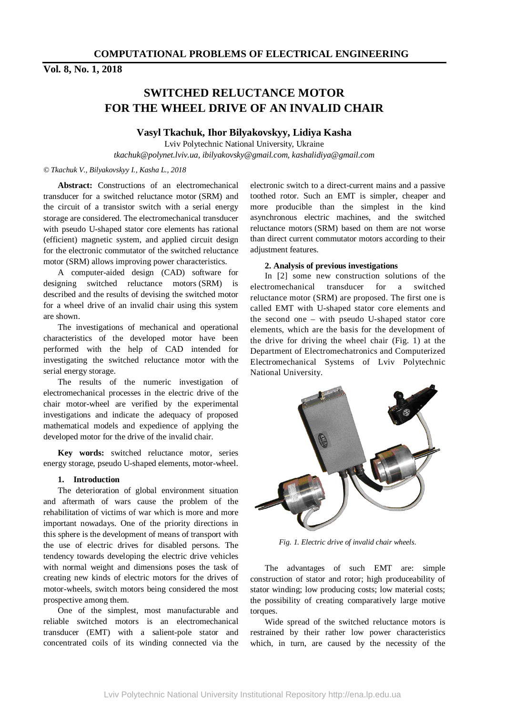## **Vol. 8, No. 1, 2018**

# **SWITCHED RELUCTANCE MOTOR FOR THE WHEEL DRIVE OF AN INVALID CHAIR**

#### **Vasyl Tkachuk, Ihor Bilyakovskyy, Lidiya Kasha**

Lviv Polytechnic National University, Ukraine *tkachuk@polynet.lviv.ua, ibilyakovsky@gmail.com, kashalidiya@gmail.com*

#### *© Tkachuk V., Bilyakovskyy I., Kasha L., 2018*

**Abstract:** Constructions of an electromechanical transducer for a switched reluctance motor (SRM) and the circuit of a transistor switch with a serial energy storage are considered. The electromechanical transducer with pseudo U-shaped stator core elements has rational (efficient) magnetic system, and applied circuit design for the electronic commutator of the switched reluctance motor (SRM) allows improving power characteristics.

A computer-aided design (CAD) software for designing switched reluctance motors (SRM) is described and the results of devising the switched motor for a wheel drive of an invalid chair using this system are shown.

The investigations of mechanical and operational characteristics of the developed motor have been performed with the help of CAD intended for investigating the switched reluctance motor with the serial energy storage.

The results of the numeric investigation of electromechanical processes in the electric drive of the chair motor-wheel are verified by the experimental investigations and indicate the adequacy of proposed mathematical models and expedience of applying the developed motor for the drive of the invalid chair.

**Key words:** switched reluctance motor, series energy storage, pseudo U-shaped elements, motor-wheel.

### **1. Introduction**

The deterioration of global environment situation and aftermath of wars cause the problem of the rehabilitation of victims of war which is more and more important nowadays. One of the priority directions in this sphere is the development of means of transport with the use of electric drives for disabled persons. The tendency towards developing the electric drive vehicles with normal weight and dimensions poses the task of creating new kinds of electric motors for the drives of motor-wheels, switch motors being considered the most prospective among them.

One of the simplest, most manufacturable and reliable switched motors is an electromechanical transducer (EMT) with a salient-pole stator and concentrated coils of its winding connected via the

electronic switch to a direct-current mains and a passive toothed rotor. Such an EMT is simpler, cheaper and more producible than the simplest in the kind asynchronous electric machines, and the switched reluctance motors (SRM) based on them are not worse than direct current commutator motors according to their adjustment features.

#### **2. Analysis of previous investigations**

In [2] some new construction solutions of the electromechanical transducer for a switched reluctance motor (SRM) are proposed. The first one is called EMT with U-shaped stator core elements and the second one – with pseudo U-shaped stator core elements, which are the basis for the development of the drive for driving the wheel chair (Fig. 1) at the Department of Electromechatronics and Computerized Electromechanical Systems of Lviv Polytechnic National University.



*Fig. 1. Electric drive of invalid chair wheels.* 

The advantages of such EMT are: simple construction of stator and rotor; high produceability of stator winding; low producing costs; low material costs; the possibility of creating comparatively large motive torques.

Wide spread of the switched reluctance motors is restrained by their rather low power characteristics which, in turn, are caused by the necessity of the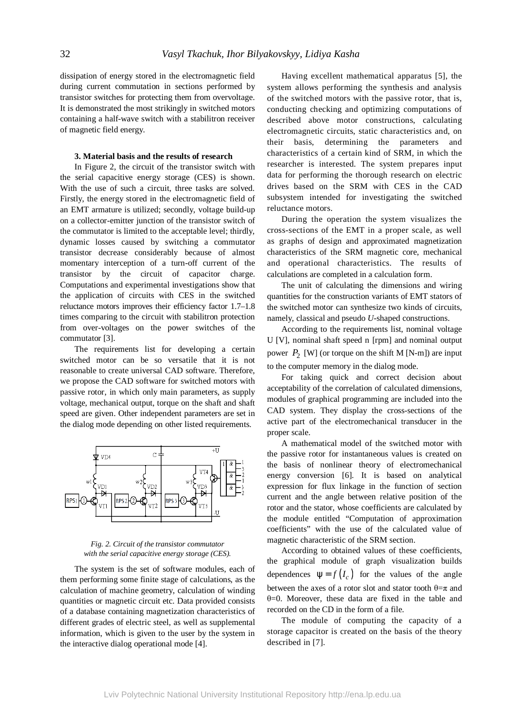dissipation of energy stored in the electromagnetic field during current commutation in sections performed by transistor switches for protecting them from overvoltage. It is demonstrated the most strikingly in switched motors containing a half-wave switch with a stabilitron receiver of magnetic field energy.

#### **3. Material basis and the results of research**

In Figure 2, the circuit of the transistor switch with the serial capacitive energy storage (CES) is shown. With the use of such a circuit, three tasks are solved. Firstly, the energy stored in the electromagnetic field of an EMT armature is utilized; secondly, voltage build-up on a collector-emitter junction of the transistor switch of the commutator is limited to the acceptable level; thirdly, dynamic losses caused by switching a commutator transistor decrease considerably because of almost momentary interception of a turn-off current of the transistor by the circuit of capacitor charge. Computations and experimental investigations show that the application of circuits with CES in the switched reluctance motors improves their efficiency factor 1.7–1.8 times comparing to the circuit with stabilitron protection from over-voltages on the power switches of the commutator [3].

The requirements list for developing a certain switched motor can be so versatile that it is not reasonable to create universal CAD software. Therefore, we propose the CAD software for switched motors with passive rotor, in which only main parameters, as supply voltage, mechanical output, torque on the shaft and shaft speed are given. Other independent parameters are set in the dialog mode depending on other listed requirements.



#### *Fig. 2. Circuit of the transistor commutator with the serial capacitive energy storage (CES).*

The system is the set of software modules, each of them performing some finite stage of calculations, as the calculation of machine geometry, calculation of winding quantities or magnetic circuit etc. Data provided consists of a database containing magnetization characteristics of different grades of electric steel, as well as supplemental information, which is given to the user by the system in the interactive dialog operational mode [4].

Having excellent mathematical apparatus [5], the system allows performing the synthesis and analysis of the switched motors with the passive rotor, that is, conducting checking and optimizing computations of described above motor constructions, calculating electromagnetic circuits, static characteristics and, on their basis, determining the parameters and characteristics of a certain kind of SRM, in which the researcher is interested. The system prepares input data for performing the thorough research on electric drives based on the SRM with CES in the CAD subsystem intended for investigating the switched reluctance motors.

During the operation the system visualizes the cross-sections of the EMT in a proper scale, as well as graphs of design and approximated magnetization characteristics of the SRM magnetic core, mechanical and operational characteristics. The results of calculations are completed in a calculation form.

The unit of calculating the dimensions and wiring quantities for the construction variants of EMT stators of the switched motor can synthesize two kinds of circuits, namely, classical and pseudo *U*-shaped constructions.

According to the requirements list, nominal voltage U [V], nominal shaft speed n [rpm] and nominal output power  $P_2$  [W] (or torque on the shift M [N-m]) are input to the computer memory in the dialog mode.

For taking quick and correct decision about acceptability of the correlation of calculated dimensions, modules of graphical programming are included into the CAD system. They display the cross-sections of the active part of the electromechanical transducer in the proper scale.

A mathematical model of the switched motor with the passive rotor for instantaneous values is created on the basis of nonlinear theory of electromechanical energy conversion [6]. It is based on analytical expression for flux linkage in the function of section current and the angle between relative position of the rotor and the stator, whose coefficients are calculated by the module entitled "Computation of approximation coefficients" with the use of the calculated value of magnetic characteristic of the SRM section.

According to obtained values of these coefficients, the graphical module of graph visualization builds dependences  $\psi = f(I_c)$  for the values of the angle between the axes of a rotor slot and stator tooth  $\theta = \pi$  and  $\theta$ =0. Moreover, these data are fixed in the table and recorded on the CD in the form of a file.

The module of computing the capacity of a storage capacitor is created on the basis of the theory described in [7].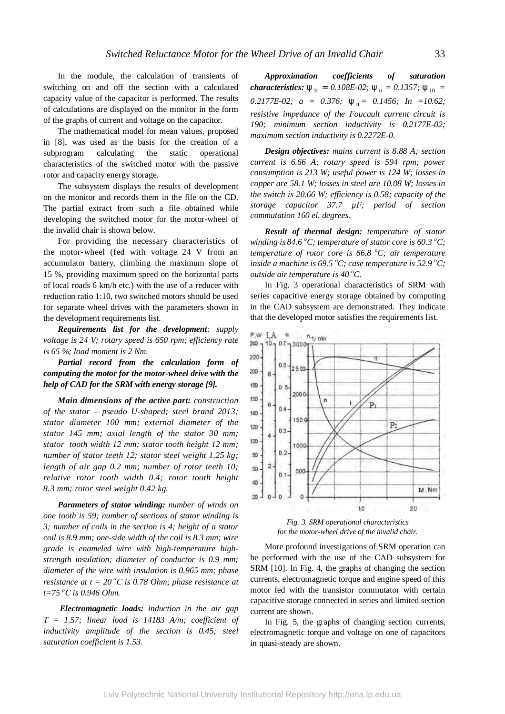In the module, the calculation of transients of switching on and off the section with a calculated capacity value of the capacitor is performed. The results of calculations are displayed on the monitor in the form of the graphs of current and voltage on the capacitor.

The mathematical model for mean values, proposed in [8], was used as the basis for the creation of a subprogram calculating the static operational characteristics of the switched motor with the passive rotor and capacity energy storage.

The subsystem displays the results of development on the monitor and records them in the file on the CD. The partial extract from such a file obtained while developing the switched motor for the motor-wheel of the invalid chair is shown below.

For providing the necessary characteristics of the motor-wheel (fed with voltage 24 V from an accumulator battery, climbing the maximum slope of 15 %, providing maximum speed on the horizontal parts of local roads 6 km/h etc.) with the use of a reducer with reduction ratio 1:10, two switched motors should be used for separate wheel drives with the parameters shown in the development requirements list.

*Requirements list for the development: supply voltage is 24 V; rotary speed is 650 rpm; efficiency rate is 65 %; load moment is 2 Nm.* 

*Partial record from the calculation form of computing the motor for the motor-wheel drive with the help of CAD for the SRM with energy storage [9].* 

*Main dimensions of the active part: construction of the stator – pseudo U-shaped; steel brand 2013; stator diameter 100 mm; external diameter of the stator 145 mm; axial length of the stator 30 mm; stator tooth width 12 mm; stator tooth height 12 mm; number of stator teeth 12; stator steel weight 1.25 kg; length of air gap 0.2 mm; number of rotor teeth 10; relative rotor tooth width 0.4; rotor tooth height 8.3 mm; rotor steel weight 0.42 kg.* 

*Parameters of stator winding: number of winds on one tooth is 59; number of sections of stator winding is 3; number of coils in the section is 4; height of a stator coil is 8.9 mm; one-side width of the coil is 8.3 mm; wire grade is enameled wire with high-temperature highstrength insulation; diameter of conductor is 0.9 mm; diameter of the wire with insulation is 0.965 mm; phase resistance at*  $t = 20^\circ \text{C}$  *is* 0.78 *Ohm; phase resistance at t=75 <sup>о</sup>С is 0.946 Ohm.* 

*Electromagnetic loads: induction in the air gap T = 1.57; linear load is 14183 A/m; coefficient of inductivity amplitude of the section is 0.45; steel saturation coefficient is 1.53.* 

*Approximation coefficients of saturation characteristics:*  $y_{1t} = 0.108E-02$ ;  $y_{10} = 0.1357$ ;  $y_{10} =$  $0.2177E-02$ ;  $a = 0.376$ ;  $y_n = 0.1456$ ;  $In =10.62$ ; *resistive impedance of the Foucault current circuit is 190; minimum section inductivity is 0.2177E-02; maximum section inductivity is 0.2272E-0.* 

*Design objectives: mains current is 8.88 A; section current is 6.66 A; rotary speed is 594 rpm; power consumption is 213 W; useful power is 124 W; losses in copper are 58.1 W; losses in steel are 10.08 W; losses in the switch is 20.66 W; efficiency is 0.58; capacity of the storage capacitor 37.7 µF; period of section commutation 160 el. degrees.* 

*Result of thermal design: temperature of stator winding is*  $84.6 \degree$ C; *temperature of stator core is*  $60.3 \degree$ C; *temperature of rotor core is 66.8 <sup>o</sup>C; air temperature inside a machine is*  $69.5 \degree C$ ; *case temperature is*  $52.9 \degree C$ ; *outside air temperature is 40 <sup>o</sup>C.*

In Fig. 3 operational characteristics of SRM with series capacitive energy storage obtained by computing in the CAD subsystem are demonstrated. They indicate that the developed motor satisfies the requirements list.



*Fig. 3. SRM operational characteristics for the motor-wheel drive of the invalid chair.* 

More profound investigations of SRM operation can be performed with the use of the CAD subsystem for SRM [10]. In Fig. 4, the graphs of changing the section currents, electromagnetic torque and engine speed of this motor fed with the transistor commutator with certain capacitive storage connected in series and limited section current are shown.

In Fig. 5, the graphs of changing section currents, electromagnetic torque and voltage on one of capacitors in quasi-steady are shown.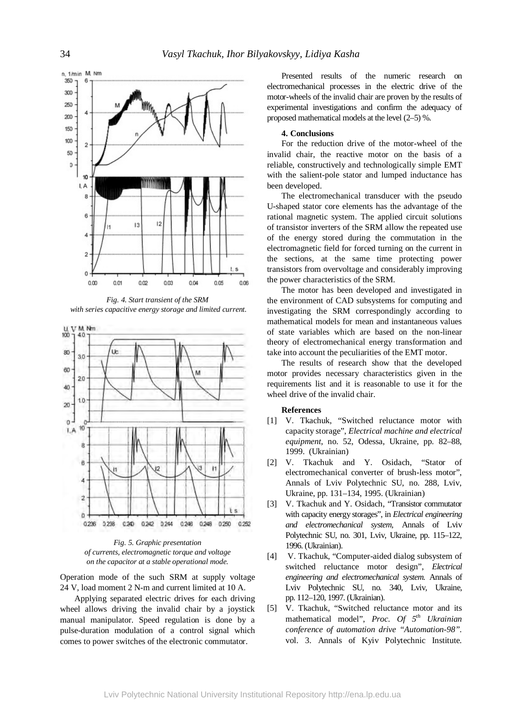

*Fig. 4. Start transient of the SRM with series capacitive energy storage and limited current.* 



*Fig. 5. Graphic presentation of currents, electromagnetic torque and voltage on the capacitor at a stable operational mode.* 

Operation mode of the such SRM at supply voltage 24 V, load moment 2 N-m and current limited at 10 A.

Applying separated electric drives for each driving wheel allows driving the invalid chair by a joystick manual manipulator. Speed regulation is done by a pulse-duration modulation of a control signal which comes to power switches of the electronic commutator.

Presented results of the numeric research on electromechanical processes in the electric drive of the motor-wheels of the invalid chair are proven by the results of experimental investigations and confirm the adequacy of proposed mathematical models at the level (2–5) %.

## **4. Conclusions**

For the reduction drive of the motor-wheel of the invalid chair, the reactive motor on the basis of a reliable, constructively and technologically simple EMT with the salient-pole stator and lumped inductance has been developed.

The electromechanical transducer with the pseudo U-shaped stator core elements has the advantage of the rational magnetic system. The applied circuit solutions of transistor inverters of the SRM allow the repeated use of the energy stored during the commutation in the electromagnetic field for forced turning on the current in the sections, at the same time protecting power transistors from overvoltage and considerably improving the power characteristics of the SRM.

The motor has been developed and investigated in the environment of CAD subsystems for computing and investigating the SRM correspondingly according to mathematical models for mean and instantaneous values of state variables which are based on the non-linear theory of electromechanical energy transformation and take into account the peculiarities of the EMT motor.

The results of research show that the developed motor provides necessary characteristics given in the requirements list and it is reasonable to use it for the wheel drive of the invalid chair.

#### **References**

- [1] V. Tkachuk, "Switched reluctance motor with capacity storage", *Electrical machine and electrical equipment*, no. 52, Odessa, Ukraine, pp. 82–88, 1999. (Ukrainian)
- [2] V. Tkachuk and Y. Osidach, "Stator of electromechanical converter of brush-less motor", Annals of Lviv Polytechnic SU, no. 288, Lviv, Ukraine, pp. 131–134, 1995. (Ukrainian)
- [3] V. Tkachuk and Y. Osidach, "Transistor commutator with capacity energy storages", in *Electrical engineering and electromechanical system,* Annals of Lviv Polytechnic SU, no. 301, Lviv, Ukraine, pp. 115–122, 1996. (Ukrainian).
- [4] V. Tkachuk, "Computer-aided dialog subsystem of switched reluctance motor design", *Electrical engineering and electromechanical system.* Annals of Lviv Polytechnic SU, no. 340, Lviv, Ukraine, pp. 112–120, 1997. (Ukrainian).
- [5] V. Tkachuk, "Switched reluctance motor and its mathematical model", *Proc. Of 5th Ukrainian conference of automation drive "Automation-98"*. vol. 3. Annals of Kyiv Polytechnic Institute.